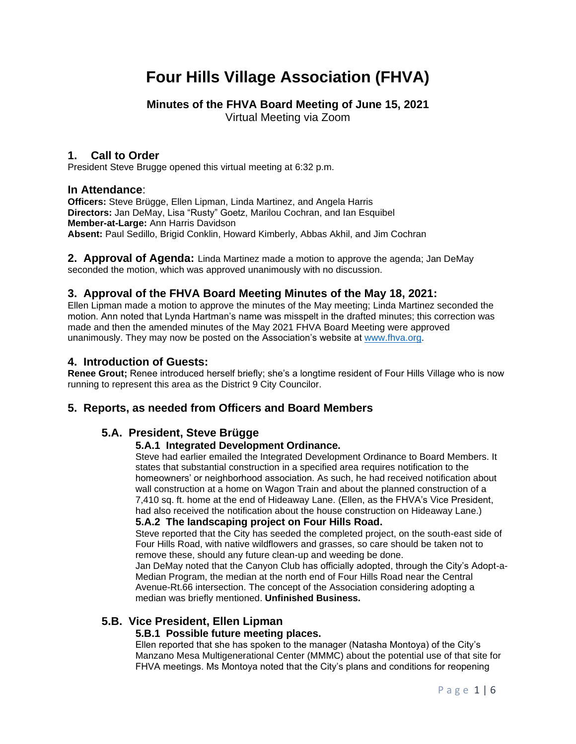# **Four Hills Village Association (FHVA)**

# **Minutes of the FHVA Board Meeting of June 15, 2021**

Virtual Meeting via Zoom

### **1. Call to Order**

President Steve Brugge opened this virtual meeting at 6:32 p.m.

### **In Attendance**:

**Officers:** Steve Brügge, Ellen Lipman, Linda Martinez, and Angela Harris **Directors:** Jan DeMay, Lisa "Rusty" Goetz, Marilou Cochran, and Ian Esquibel **Member-at-Large:** Ann Harris Davidson **Absent:** Paul Sedillo, Brigid Conklin, Howard Kimberly, Abbas Akhil, and Jim Cochran

**2. Approval of Agenda:** Linda Martinez made a motion to approve the agenda; Jan DeMay seconded the motion, which was approved unanimously with no discussion.

### **3. Approval of the FHVA Board Meeting Minutes of the May 18, 2021:**

Ellen Lipman made a motion to approve the minutes of the May meeting; Linda Martinez seconded the motion. Ann noted that Lynda Hartman's name was misspelt in the drafted minutes; this correction was made and then the amended minutes of the May 2021 FHVA Board Meeting were approved unanimously. They may now be posted on the Association's website at [www.fhva.org.](http://www.fhva.org/)

### **4. Introduction of Guests:**

**Renee Grout;** Renee introduced herself briefly; she's a longtime resident of Four Hills Village who is now running to represent this area as the District 9 City Councilor.

### **5. Reports, as needed from Officers and Board Members**

### **5.A. President, Steve Brügge**

### **5.A.1 Integrated Development Ordinance.**

Steve had earlier emailed the Integrated Development Ordinance to Board Members. It states that substantial construction in a specified area requires notification to the homeowners' or neighborhood association. As such, he had received notification about wall construction at a home on Wagon Train and about the planned construction of a 7,410 sq. ft. home at the end of Hideaway Lane. (Ellen, as the FHVA's Vice President, had also received the notification about the house construction on Hideaway Lane.)

### **5.A.2 The landscaping project on Four Hills Road.**

Steve reported that the City has seeded the completed project, on the south-east side of Four Hills Road, with native wildflowers and grasses, so care should be taken not to remove these, should any future clean-up and weeding be done.

Jan DeMay noted that the Canyon Club has officially adopted, through the City's Adopt-a-Median Program, the median at the north end of Four Hills Road near the Central Avenue-Rt.66 intersection. The concept of the Association considering adopting a median was briefly mentioned. **Unfinished Business.**

### **5.B. Vice President, Ellen Lipman**

### **5.B.1 Possible future meeting places.**

Ellen reported that she has spoken to the manager (Natasha Montoya) of the City's Manzano Mesa Multigenerational Center (MMMC) about the potential use of that site for FHVA meetings. Ms Montoya noted that the City's plans and conditions for reopening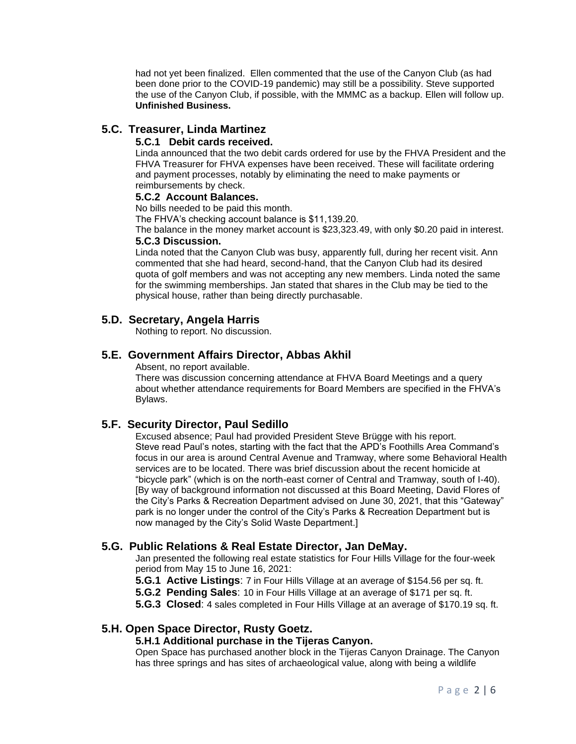had not yet been finalized. Ellen commented that the use of the Canyon Club (as had been done prior to the COVID-19 pandemic) may still be a possibility. Steve supported the use of the Canyon Club, if possible, with the MMMC as a backup. Ellen will follow up. **Unfinished Business.**

# **5.C. Treasurer, Linda Martinez**

### **5.C.1 Debit cards received.**

Linda announced that the two debit cards ordered for use by the FHVA President and the FHVA Treasurer for FHVA expenses have been received. These will facilitate ordering and payment processes, notably by eliminating the need to make payments or reimbursements by check.

#### **5.C.2 Account Balances.**

No bills needed to be paid this month.

The FHVA's checking account balance is \$11,139.20.

The balance in the money market account is \$23,323.49, with only \$0.20 paid in interest. **5.C.3 Discussion.**

Linda noted that the Canyon Club was busy, apparently full, during her recent visit. Ann commented that she had heard, second-hand, that the Canyon Club had its desired quota of golf members and was not accepting any new members. Linda noted the same for the swimming memberships. Jan stated that shares in the Club may be tied to the physical house, rather than being directly purchasable.

# **5.D. Secretary, Angela Harris**

Nothing to report. No discussion.

# **5.E. Government Affairs Director, Abbas Akhil**

Absent, no report available.

There was discussion concerning attendance at FHVA Board Meetings and a query about whether attendance requirements for Board Members are specified in the FHVA's Bylaws.

### **5.F. Security Director, Paul Sedillo**

Excused absence; Paul had provided President Steve Brügge with his report. Steve read Paul's notes, starting with the fact that the APD's Foothills Area Command's focus in our area is around Central Avenue and Tramway, where some Behavioral Health services are to be located. There was brief discussion about the recent homicide at "bicycle park" (which is on the north-east corner of Central and Tramway, south of I-40). [By way of background information not discussed at this Board Meeting, David Flores of the City's Parks & Recreation Department advised on June 30, 2021, that this "Gateway" park is no longer under the control of the City's Parks & Recreation Department but is now managed by the City's Solid Waste Department.]

### **5.G. Public Relations & Real Estate Director, Jan DeMay.**

Jan presented the following real estate statistics for Four Hills Village for the four-week period from May 15 to June 16, 2021:

- **5.G.1 Active Listings**: 7 in Four Hills Village at an average of \$154.56 per sq. ft.
- **5.G.2 Pending Sales**: 10 in Four Hills Village at an average of \$171 per sq. ft.

**5.G.3 Closed**: 4 sales completed in Four Hills Village at an average of \$170.19 sq. ft.

### **5.H. Open Space Director, Rusty Goetz.**

### **5.H.1 Additional purchase in the Tijeras Canyon.**

Open Space has purchased another block in the Tijeras Canyon Drainage. The Canyon has three springs and has sites of archaeological value, along with being a wildlife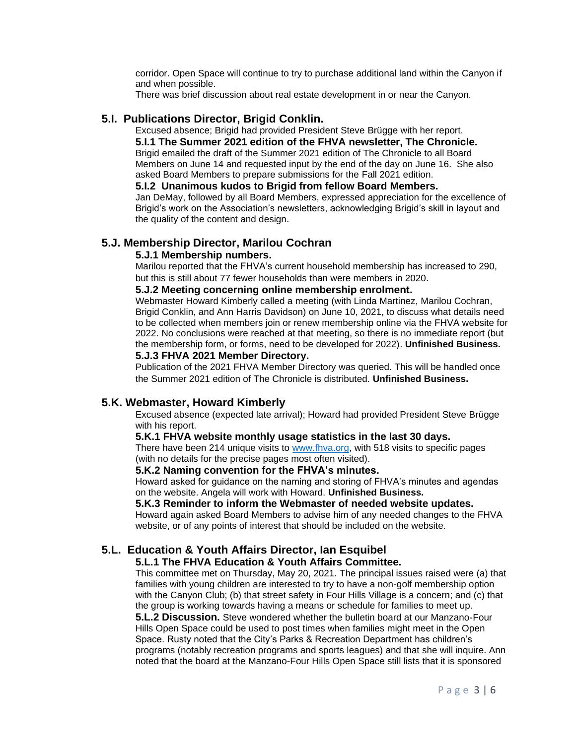corridor. Open Space will continue to try to purchase additional land within the Canyon if and when possible.

There was brief discussion about real estate development in or near the Canyon.

### **5.I. Publications Director, Brigid Conklin.**

Excused absence; Brigid had provided President Steve Brügge with her report. **5.I.1 The Summer 2021 edition of the FHVA newsletter, The Chronicle.** Brigid emailed the draft of the Summer 2021 edition of The Chronicle to all Board Members on June 14 and requested input by the end of the day on June 16. She also asked Board Members to prepare submissions for the Fall 2021 edition.

#### **5.I.2 Unanimous kudos to Brigid from fellow Board Members.**

Jan DeMay, followed by all Board Members, expressed appreciation for the excellence of Brigid's work on the Association's newsletters, acknowledging Brigid's skill in layout and the quality of the content and design.

### **5.J. Membership Director, Marilou Cochran**

#### **5.J.1 Membership numbers.**

Marilou reported that the FHVA's current household membership has increased to 290, but this is still about 77 fewer households than were members in 2020.

#### **5.J.2 Meeting concerning online membership enrolment.**

Webmaster Howard Kimberly called a meeting (with Linda Martinez, Marilou Cochran, Brigid Conklin, and Ann Harris Davidson) on June 10, 2021, to discuss what details need to be collected when members join or renew membership online via the FHVA website for 2022. No conclusions were reached at that meeting, so there is no immediate report (but the membership form, or forms, need to be developed for 2022). **Unfinished Business.**

### **5.J.3 FHVA 2021 Member Directory.**

Publication of the 2021 FHVA Member Directory was queried. This will be handled once the Summer 2021 edition of The Chronicle is distributed. **Unfinished Business.**

### **5.K. Webmaster, Howard Kimberly**

Excused absence (expected late arrival); Howard had provided President Steve Brügge with his report.

#### **5.K.1 FHVA website monthly usage statistics in the last 30 days.**

There have been 214 unique visits to [www.fhva.org,](http://www.fhva.org/) with 518 visits to specific pages (with no details for the precise pages most often visited).

### **5.K.2 Naming convention for the FHVA's minutes.**

Howard asked for guidance on the naming and storing of FHVA's minutes and agendas on the website. Angela will work with Howard. **Unfinished Business.**

#### **5.K.3 Reminder to inform the Webmaster of needed website updates.**

Howard again asked Board Members to advise him of any needed changes to the FHVA website, or of any points of interest that should be included on the website.

#### **5.L. Education & Youth Affairs Director, Ian Esquibel**

#### **5.L.1 The FHVA Education & Youth Affairs Committee.**

This committee met on Thursday, May 20, 2021. The principal issues raised were (a) that families with young children are interested to try to have a non-golf membership option with the Canyon Club; (b) that street safety in Four Hills Village is a concern; and (c) that the group is working towards having a means or schedule for families to meet up.

**5.L.2 Discussion.** Steve wondered whether the bulletin board at our Manzano-Four Hills Open Space could be used to post times when families might meet in the Open Space. Rusty noted that the City's Parks & Recreation Department has children's programs (notably recreation programs and sports leagues) and that she will inquire. Ann noted that the board at the Manzano-Four Hills Open Space still lists that it is sponsored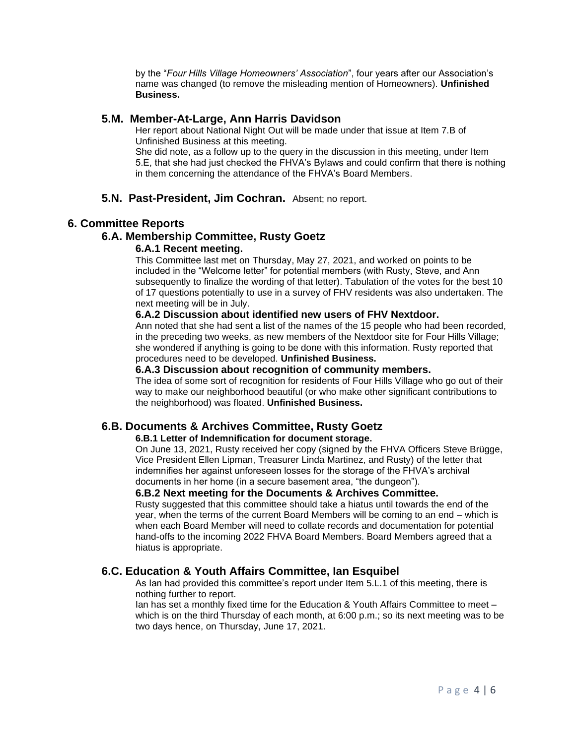by the "*Four Hills Village Homeowners' Association*", four years after our Association's name was changed (to remove the misleading mention of Homeowners). **Unfinished Business.**

#### **5.M. Member-At-Large, Ann Harris Davidson**

Her report about National Night Out will be made under that issue at Item 7.B of Unfinished Business at this meeting.

She did note, as a follow up to the query in the discussion in this meeting, under Item 5.E, that she had just checked the FHVA's Bylaws and could confirm that there is nothing in them concerning the attendance of the FHVA's Board Members.

#### **5.N. Past-President, Jim Cochran.** Absent; no report.

#### **6. Committee Reports**

#### **6.A. Membership Committee, Rusty Goetz**

#### **6.A.1 Recent meeting.**

This Committee last met on Thursday, May 27, 2021, and worked on points to be included in the "Welcome letter" for potential members (with Rusty, Steve, and Ann subsequently to finalize the wording of that letter). Tabulation of the votes for the best 10 of 17 questions potentially to use in a survey of FHV residents was also undertaken. The next meeting will be in July.

#### **6.A.2 Discussion about identified new users of FHV Nextdoor.**

Ann noted that she had sent a list of the names of the 15 people who had been recorded, in the preceding two weeks, as new members of the Nextdoor site for Four Hills Village; she wondered if anything is going to be done with this information. Rusty reported that procedures need to be developed. **Unfinished Business.**

#### **6.A.3 Discussion about recognition of community members.**

The idea of some sort of recognition for residents of Four Hills Village who go out of their way to make our neighborhood beautiful (or who make other significant contributions to the neighborhood) was floated. **Unfinished Business.**

#### **6.B. Documents & Archives Committee, Rusty Goetz**

#### **6.B.1 Letter of Indemnification for document storage.**

On June 13, 2021, Rusty received her copy (signed by the FHVA Officers Steve Brügge, Vice President Ellen Lipman, Treasurer Linda Martinez, and Rusty) of the letter that indemnifies her against unforeseen losses for the storage of the FHVA's archival documents in her home (in a secure basement area, "the dungeon").

#### **6.B.2 Next meeting for the Documents & Archives Committee.**

Rusty suggested that this committee should take a hiatus until towards the end of the year, when the terms of the current Board Members will be coming to an end – which is when each Board Member will need to collate records and documentation for potential hand-offs to the incoming 2022 FHVA Board Members. Board Members agreed that a hiatus is appropriate.

#### **6.C. Education & Youth Affairs Committee, Ian Esquibel**

As Ian had provided this committee's report under Item 5.L.1 of this meeting, there is nothing further to report.

Ian has set a monthly fixed time for the Education & Youth Affairs Committee to meet – which is on the third Thursday of each month, at 6:00 p.m.; so its next meeting was to be two days hence, on Thursday, June 17, 2021.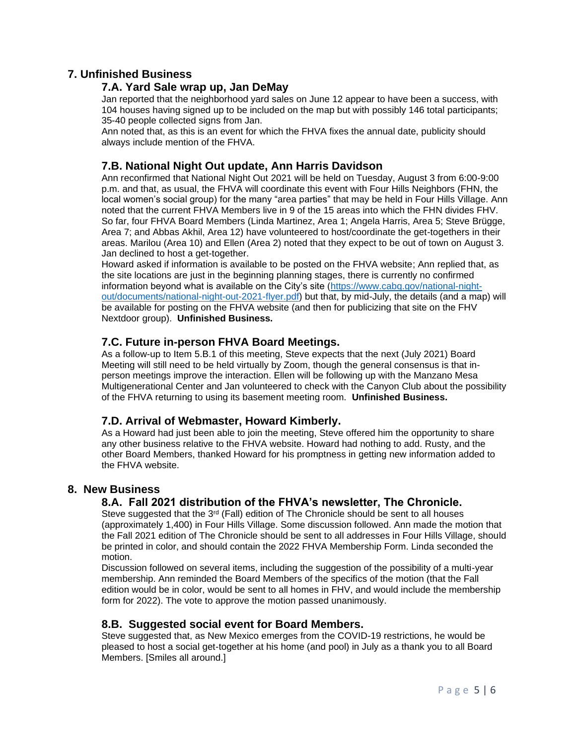# **7. Unfinished Business**

### **7.A. Yard Sale wrap up, Jan DeMay**

Jan reported that the neighborhood yard sales on June 12 appear to have been a success, with 104 houses having signed up to be included on the map but with possibly 146 total participants; 35-40 people collected signs from Jan.

Ann noted that, as this is an event for which the FHVA fixes the annual date, publicity should always include mention of the FHVA.

# **7.B. National Night Out update, Ann Harris Davidson**

Ann reconfirmed that National Night Out 2021 will be held on Tuesday, August 3 from 6:00-9:00 p.m. and that, as usual, the FHVA will coordinate this event with Four Hills Neighbors (FHN, the local women's social group) for the many "area parties" that may be held in Four Hills Village. Ann noted that the current FHVA Members live in 9 of the 15 areas into which the FHN divides FHV. So far, four FHVA Board Members (Linda Martinez, Area 1; Angela Harris, Area 5; Steve Brügge, Area 7; and Abbas Akhil, Area 12) have volunteered to host/coordinate the get-togethers in their areas. Marilou (Area 10) and Ellen (Area 2) noted that they expect to be out of town on August 3. Jan declined to host a get-together.

Howard asked if information is available to be posted on the FHVA website; Ann replied that, as the site locations are just in the beginning planning stages, there is currently no confirmed information beyond what is available on the City's site [\(https://www.cabq.gov/national-night](https://www.cabq.gov/national-night-out/documents/national-night-out-2021-flyer.pdf)[out/documents/national-night-out-2021-flyer.pdf\)](https://www.cabq.gov/national-night-out/documents/national-night-out-2021-flyer.pdf) but that, by mid-July, the details (and a map) will be available for posting on the FHVA website (and then for publicizing that site on the FHV Nextdoor group). **Unfinished Business.**

# **7.C. Future in-person FHVA Board Meetings.**

As a follow-up to Item 5.B.1 of this meeting, Steve expects that the next (July 2021) Board Meeting will still need to be held virtually by Zoom, though the general consensus is that inperson meetings improve the interaction. Ellen will be following up with the Manzano Mesa Multigenerational Center and Jan volunteered to check with the Canyon Club about the possibility of the FHVA returning to using its basement meeting room. **Unfinished Business.**

# **7.D. Arrival of Webmaster, Howard Kimberly.**

As a Howard had just been able to join the meeting, Steve offered him the opportunity to share any other business relative to the FHVA website. Howard had nothing to add. Rusty, and the other Board Members, thanked Howard for his promptness in getting new information added to the FHVA website.

### **8. New Business**

# **8.A. Fall 2021 distribution of the FHVA's newsletter, The Chronicle.**

Steve suggested that the  $3<sup>rd</sup>$  (Fall) edition of The Chronicle should be sent to all houses (approximately 1,400) in Four Hills Village. Some discussion followed. Ann made the motion that the Fall 2021 edition of The Chronicle should be sent to all addresses in Four Hills Village, should be printed in color, and should contain the 2022 FHVA Membership Form. Linda seconded the motion.

Discussion followed on several items, including the suggestion of the possibility of a multi-year membership. Ann reminded the Board Members of the specifics of the motion (that the Fall edition would be in color, would be sent to all homes in FHV, and would include the membership form for 2022). The vote to approve the motion passed unanimously.

### **8.B. Suggested social event for Board Members.**

Steve suggested that, as New Mexico emerges from the COVID-19 restrictions, he would be pleased to host a social get-together at his home (and pool) in July as a thank you to all Board Members. [Smiles all around.]